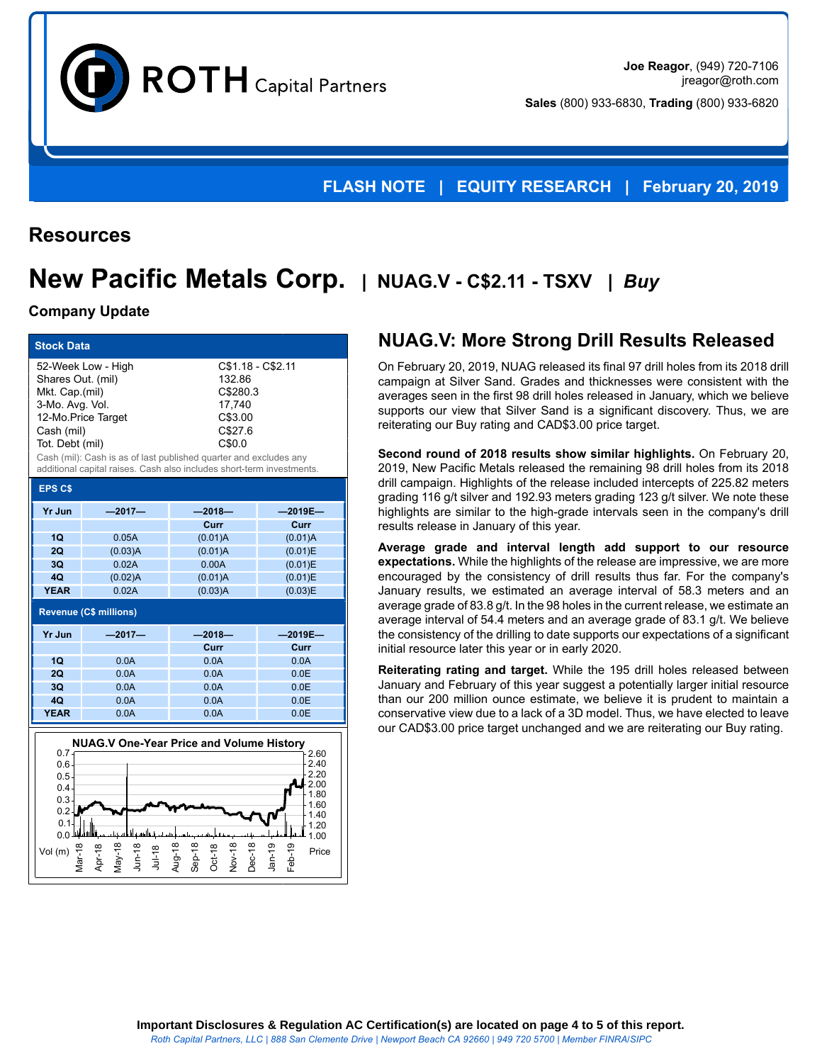$ROTH$  Capital Partners

**Joe Reagor**, (949) 720-7106 jreagor@roth.com **Sales** (800) 933-6830, **Trading** (800) 933-6820

### **FLASH NOTE | EQUITY RESEARCH | February 20, 2019**

## **Resources**

# **New Pacific Metals Corp. | NUAG.V - C\$2.11 - TSXV |** *Buy*

#### **Company Update**

Mar-18 Apr-18 May-18 Jun-18 Jul-18 Aug-18 Sep-18 Oct-18 Nov-18

 $0.2 0.1$  $0.0$ 

| <b>Stock Data</b>                                                                                                                                                                                                                                                                                                                                                      |          |          |            |  |  |  |
|------------------------------------------------------------------------------------------------------------------------------------------------------------------------------------------------------------------------------------------------------------------------------------------------------------------------------------------------------------------------|----------|----------|------------|--|--|--|
| 52-Week Low - High<br>C\$1.18 - C\$2.11<br>Shares Out. (mil)<br>132.86<br>Mkt. Cap.(mil)<br>C\$280.3<br>3-Mo. Avg. Vol.<br>17.740<br>12-Mo.Price Target<br>C\$3.00<br>C\$27.6<br>Cash (mil)<br>C\$0.0<br>Tot. Debt (mil)<br>Cash (mil): Cash is as of last published quarter and excludes any<br>additional capital raises. Cash also includes short-term investments. |          |          |            |  |  |  |
| <b>EPS C\$</b>                                                                                                                                                                                                                                                                                                                                                         |          |          |            |  |  |  |
| <b>Yr Jun</b>                                                                                                                                                                                                                                                                                                                                                          | $-2017-$ | $-2018-$ | $-2019E -$ |  |  |  |
|                                                                                                                                                                                                                                                                                                                                                                        |          | Curr     | Curr       |  |  |  |
| 1Q                                                                                                                                                                                                                                                                                                                                                                     | 0.05A    | (0.01)A  | (0.01)A    |  |  |  |
| 2Q                                                                                                                                                                                                                                                                                                                                                                     | (0.03)A  | (0.01)A  | (0.01)E    |  |  |  |
| 3Q                                                                                                                                                                                                                                                                                                                                                                     | 0.02A    | 0.00A    | (0.01)E    |  |  |  |
| 4Q                                                                                                                                                                                                                                                                                                                                                                     | (0.02)A  | (0.01)A  | (0.01)E    |  |  |  |
| <b>YEAR</b>                                                                                                                                                                                                                                                                                                                                                            | 0.02A    | (0.03)A  | (0.03)E    |  |  |  |
| <b>Revenue (C\$ millions)</b>                                                                                                                                                                                                                                                                                                                                          |          |          |            |  |  |  |
| <b>Yr Jun</b>                                                                                                                                                                                                                                                                                                                                                          | $-2017-$ | $-2018-$ | $-2019E -$ |  |  |  |
|                                                                                                                                                                                                                                                                                                                                                                        |          | Curr     | Curr       |  |  |  |
| 10                                                                                                                                                                                                                                                                                                                                                                     | 0.0A     | 0.0A     | 0.0A       |  |  |  |
| 20                                                                                                                                                                                                                                                                                                                                                                     | 0.0A     | 0.0A     | 0.0E       |  |  |  |
| 30                                                                                                                                                                                                                                                                                                                                                                     | 0.0A     | 0.0A     | 0.0E       |  |  |  |
| 40                                                                                                                                                                                                                                                                                                                                                                     | 0.0A     | 0.0A     | 0.0E       |  |  |  |
| <b>YEAR</b>                                                                                                                                                                                                                                                                                                                                                            | 0.0A     | 0.0A     | 0.0E       |  |  |  |
| <b>NUAG.V One-Year Price and Volume History</b><br>$0.7 -$<br>2.60<br>2.40<br>$0.6 -$<br>2.20<br>$0.5 -$<br>2.00<br>$0.4 -$<br>1.80<br>0.3<br>1.60<br>0.2<br>1.40                                                                                                                                                                                                      |          |          |            |  |  |  |

Vol (m) 도 두 도 두 두 도 도 두 도 Price

# **NUAG.V: More Strong Drill Results Released**

On February 20, 2019, NUAG released its final 97 drill holes from its 2018 drill campaign at Silver Sand. Grades and thicknesses were consistent with the averages seen in the first 98 drill holes released in January, which we believe supports our view that Silver Sand is a significant discovery. Thus, we are reiterating our Buy rating and CAD\$3.00 price target.

**Second round of 2018 results show similar highlights.** On February 20, 2019, New Pacific Metals released the remaining 98 drill holes from its 2018 drill campaign. Highlights of the release included intercepts of 225.82 meters grading 116 g/t silver and 192.93 meters grading 123 g/t silver. We note these highlights are similar to the high-grade intervals seen in the company's drill results release in January of this year.

**Average grade and interval length add support to our resource expectations.** While the highlights of the release are impressive, we are more encouraged by the consistency of drill results thus far. For the company's January results, we estimated an average interval of 58.3 meters and an average grade of 83.8 g/t. In the 98 holes in the current release, we estimate an average interval of 54.4 meters and an average grade of 83.1 g/t. We believe the consistency of the drilling to date supports our expectations of a significant initial resource later this year or in early 2020.

**Reiterating rating and target.** While the 195 drill holes released between January and February of this year suggest a potentially larger initial resource than our 200 million ounce estimate, we believe it is prudent to maintain a conservative view due to a lack of a 3D model. Thus, we have elected to leave our CAD\$3.00 price target unchanged and we are reiterating our Buy rating.

 $1.20$ 1.00

Dec-18<br>Jan-19 Jan-19 -غ<br>آ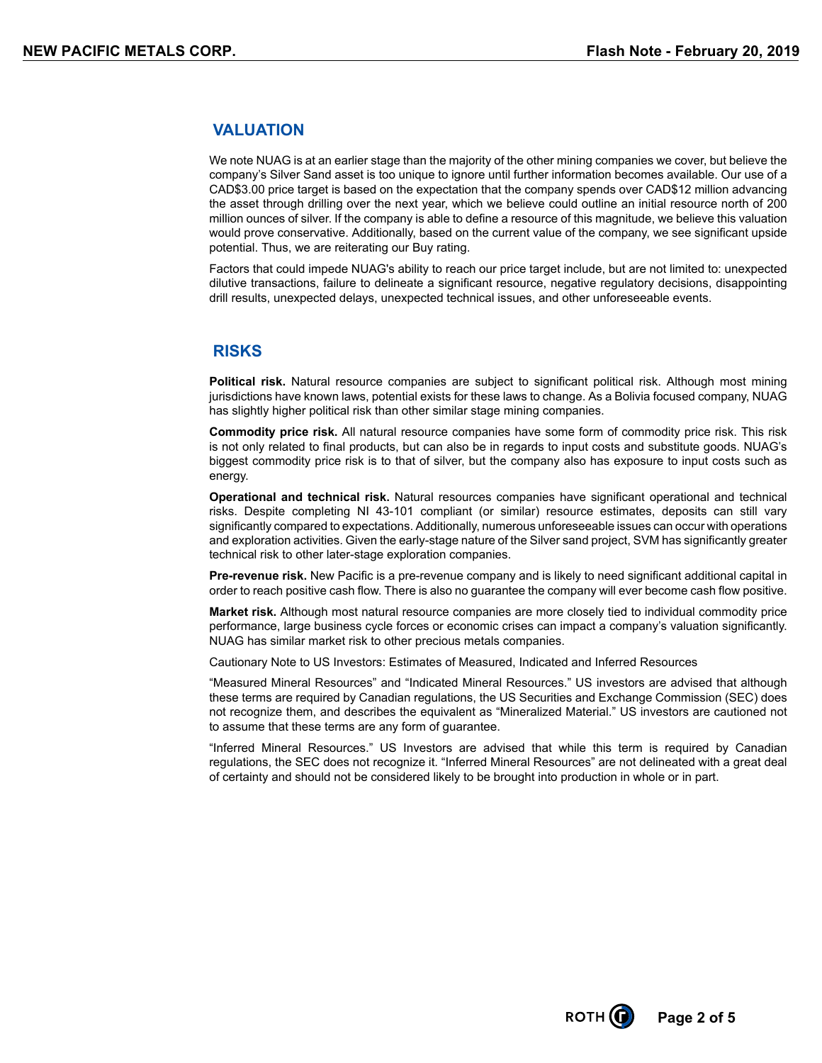### **VALUATION**

We note NUAG is at an earlier stage than the majority of the other mining companies we cover, but believe the company's Silver Sand asset is too unique to ignore until further information becomes available. Our use of a CAD\$3.00 price target is based on the expectation that the company spends over CAD\$12 million advancing the asset through drilling over the next year, which we believe could outline an initial resource north of 200 million ounces of silver. If the company is able to define a resource of this magnitude, we believe this valuation would prove conservative. Additionally, based on the current value of the company, we see significant upside potential. Thus, we are reiterating our Buy rating.

Factors that could impede NUAG's ability to reach our price target include, but are not limited to: unexpected dilutive transactions, failure to delineate a significant resource, negative regulatory decisions, disappointing drill results, unexpected delays, unexpected technical issues, and other unforeseeable events.

### **RISKS**

**Political risk.** Natural resource companies are subject to significant political risk. Although most mining jurisdictions have known laws, potential exists for these laws to change. As a Bolivia focused company, NUAG has slightly higher political risk than other similar stage mining companies.

**Commodity price risk.** All natural resource companies have some form of commodity price risk. This risk is not only related to final products, but can also be in regards to input costs and substitute goods. NUAG's biggest commodity price risk is to that of silver, but the company also has exposure to input costs such as energy.

**Operational and technical risk.** Natural resources companies have significant operational and technical risks. Despite completing NI 43-101 compliant (or similar) resource estimates, deposits can still vary significantly compared to expectations. Additionally, numerous unforeseeable issues can occur with operations and exploration activities. Given the early-stage nature of the Silver sand project, SVM has significantly greater technical risk to other later-stage exploration companies.

**Pre-revenue risk.** New Pacific is a pre-revenue company and is likely to need significant additional capital in order to reach positive cash flow. There is also no guarantee the company will ever become cash flow positive.

**Market risk.** Although most natural resource companies are more closely tied to individual commodity price performance, large business cycle forces or economic crises can impact a company's valuation significantly. NUAG has similar market risk to other precious metals companies.

Cautionary Note to US Investors: Estimates of Measured, Indicated and Inferred Resources

"Measured Mineral Resources" and "Indicated Mineral Resources." US investors are advised that although these terms are required by Canadian regulations, the US Securities and Exchange Commission (SEC) does not recognize them, and describes the equivalent as "Mineralized Material." US investors are cautioned not to assume that these terms are any form of guarantee.

"Inferred Mineral Resources." US Investors are advised that while this term is required by Canadian regulations, the SEC does not recognize it. "Inferred Mineral Resources" are not delineated with a great deal of certainty and should not be considered likely to be brought into production in whole or in part.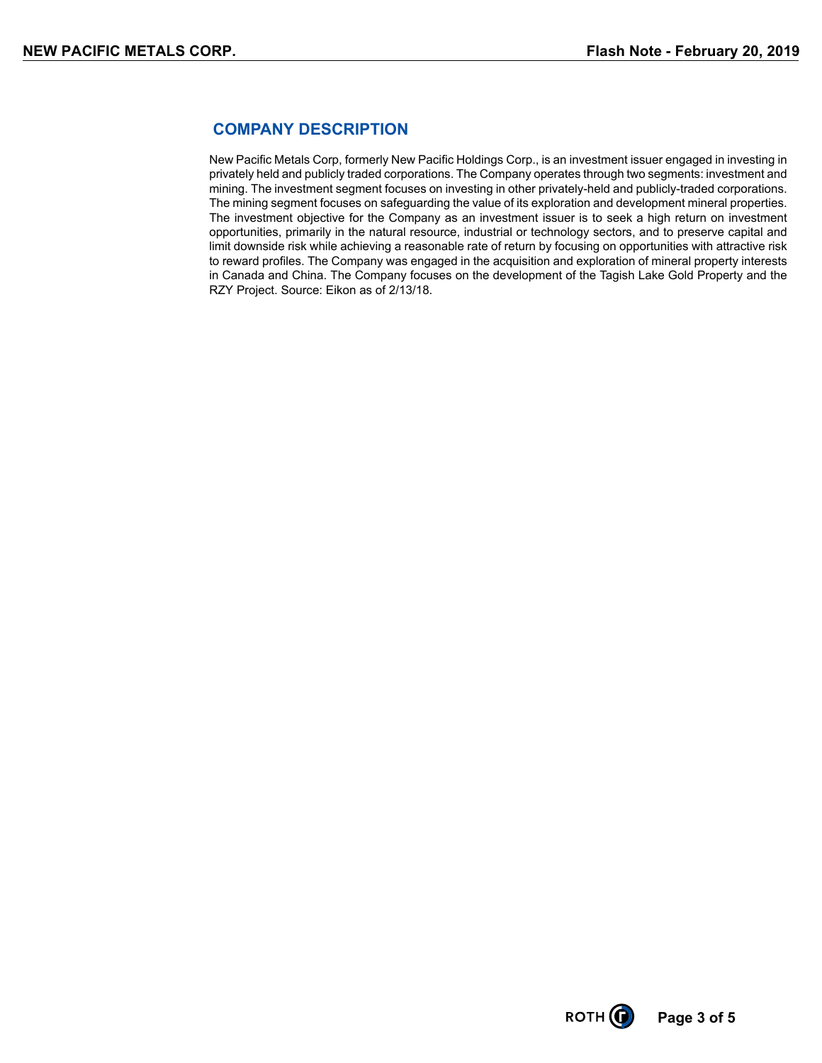### **COMPANY DESCRIPTION**

New Pacific Metals Corp, formerly New Pacific Holdings Corp., is an investment issuer engaged in investing in privately held and publicly traded corporations. The Company operates through two segments: investment and mining. The investment segment focuses on investing in other privately-held and publicly-traded corporations. The mining segment focuses on safeguarding the value of its exploration and development mineral properties. The investment objective for the Company as an investment issuer is to seek a high return on investment opportunities, primarily in the natural resource, industrial or technology sectors, and to preserve capital and limit downside risk while achieving a reasonable rate of return by focusing on opportunities with attractive risk to reward profiles. The Company was engaged in the acquisition and exploration of mineral property interests in Canada and China. The Company focuses on the development of the Tagish Lake Gold Property and the RZY Project. Source: Eikon as of 2/13/18.

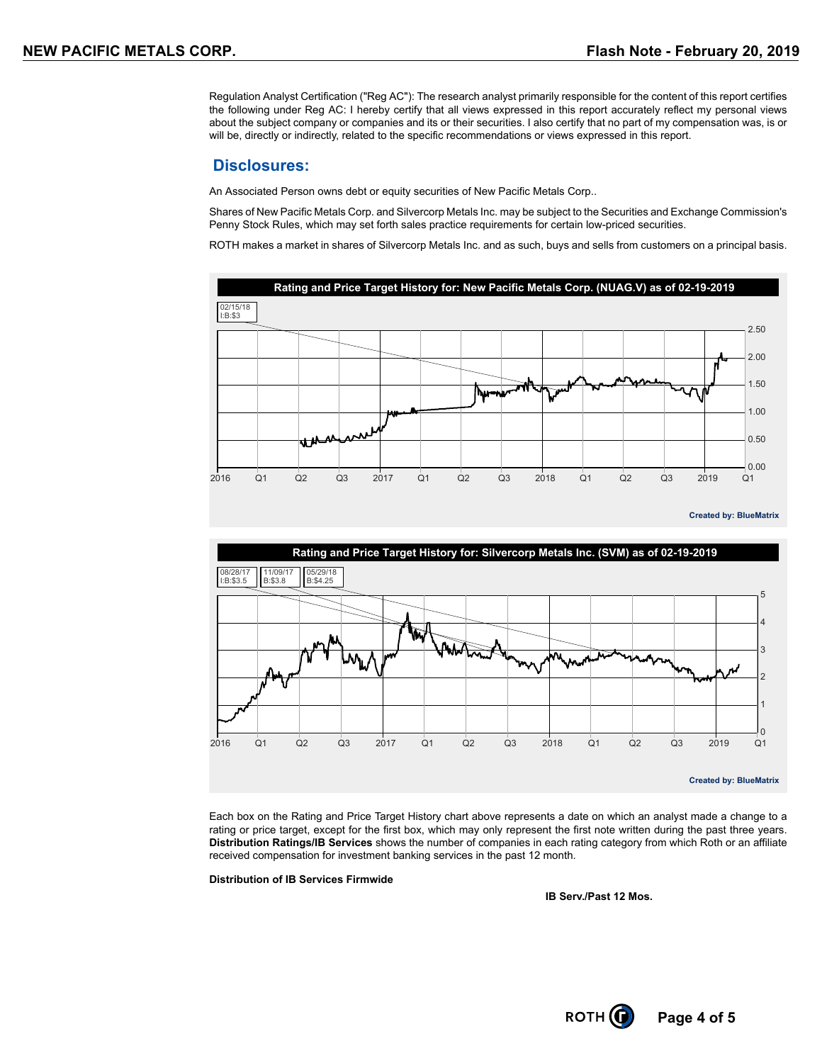Regulation Analyst Certification ("Reg AC"): The research analyst primarily responsible for the content of this report certifies the following under Reg AC: I hereby certify that all views expressed in this report accurately reflect my personal views about the subject company or companies and its or their securities. I also certify that no part of my compensation was, is or will be, directly or indirectly, related to the specific recommendations or views expressed in this report.

#### **Disclosures:**

An Associated Person owns debt or equity securities of New Pacific Metals Corp..

Shares of New Pacific Metals Corp. and Silvercorp Metals Inc. may be subject to the Securities and Exchange Commission's Penny Stock Rules, which may set forth sales practice requirements for certain low-priced securities.

ROTH makes a market in shares of Silvercorp Metals Inc. and as such, buys and sells from customers on a principal basis.



**Created by: BlueMatrix**



Each box on the Rating and Price Target History chart above represents a date on which an analyst made a change to a rating or price target, except for the first box, which may only represent the first note written during the past three years. **Distribution Ratings/IB Services** shows the number of companies in each rating category from which Roth or an affiliate received compensation for investment banking services in the past 12 month.

**Distribution of IB Services Firmwide**

**IB Serv./Past 12 Mos.**